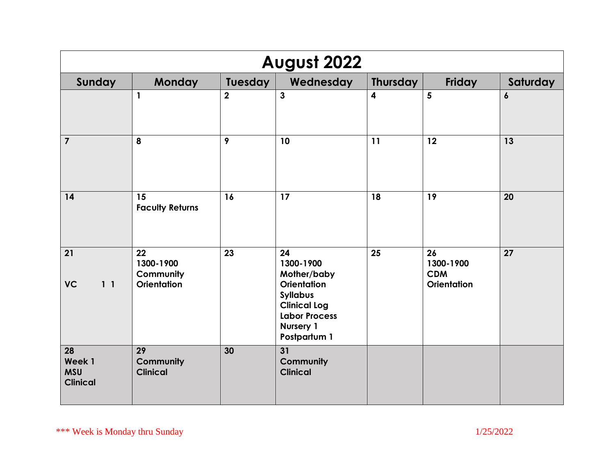| August 2022                                   |                                                    |                |                                                                                                                                                            |                         |                                                     |                  |
|-----------------------------------------------|----------------------------------------------------|----------------|------------------------------------------------------------------------------------------------------------------------------------------------------------|-------------------------|-----------------------------------------------------|------------------|
| Sunday                                        | <b>Monday</b>                                      | Tuesday        | Wednesday                                                                                                                                                  | Thursday                | Friday                                              | Saturday         |
|                                               | $\mathbf{1}$                                       | $\overline{2}$ | $\overline{3}$                                                                                                                                             | $\overline{\mathbf{4}}$ | 5                                                   | $\boldsymbol{6}$ |
| $\overline{7}$                                | 8                                                  | 9              | 10                                                                                                                                                         | 11                      | 12                                                  | 13               |
| 14                                            | 15<br><b>Faculty Returns</b>                       | 16             | 17                                                                                                                                                         | 18                      | 19                                                  | 20               |
| 21<br><b>VC</b><br>1 <sub>1</sub>             | 22<br>1300-1900<br>Community<br><b>Orientation</b> | 23             | 24<br>1300-1900<br>Mother/baby<br><b>Orientation</b><br><b>Syllabus</b><br><b>Clinical Log</b><br><b>Labor Process</b><br><b>Nursery 1</b><br>Postpartum 1 | 25                      | 26<br>1300-1900<br><b>CDM</b><br><b>Orientation</b> | 27               |
| 28<br>Week 1<br><b>MSU</b><br><b>Clinical</b> | 29<br>Community<br><b>Clinical</b>                 | 30             | 31<br>Community<br><b>Clinical</b>                                                                                                                         |                         |                                                     |                  |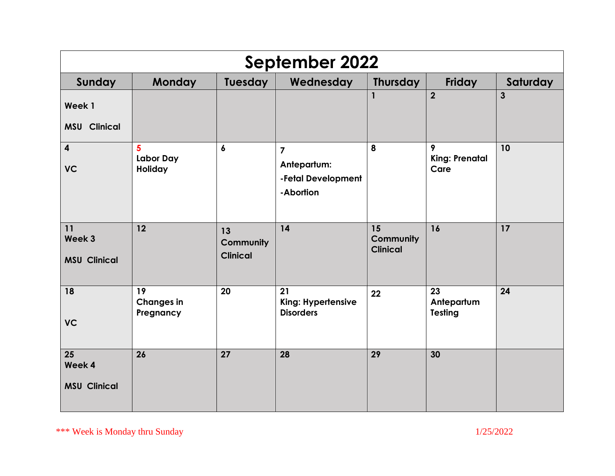| <b>September 2022</b>                            |                                      |                                    |                                                                  |                                    |                                    |                |  |
|--------------------------------------------------|--------------------------------------|------------------------------------|------------------------------------------------------------------|------------------------------------|------------------------------------|----------------|--|
| Sunday                                           | Monday                               | <b>Tuesday</b>                     | Wednesday                                                        | <b>Thursday</b>                    | Friday                             | Saturday       |  |
| Week 1<br><b>MSU Clinical</b>                    |                                      |                                    |                                                                  | $\mathbf{1}$                       | $\overline{2}$                     | $\overline{3}$ |  |
| $\overline{\mathbf{4}}$<br><b>VC</b>             | 5<br><b>Labor Day</b><br>Holiday     | $\boldsymbol{6}$                   | $\overline{7}$<br>Antepartum:<br>-Fetal Development<br>-Abortion | 8                                  | 9<br><b>King: Prenatal</b><br>Care | 10             |  |
| 11<br>Week 3<br><b>MSU Clinical</b>              | 12                                   | 13<br>Community<br><b>Clinical</b> | 14                                                               | 15<br>Community<br><b>Clinical</b> | 16                                 | 17             |  |
| 18<br><b>VC</b>                                  | 19<br><b>Changes in</b><br>Pregnancy | 20                                 | 21<br>King: Hypertensive<br><b>Disorders</b>                     | 22                                 | 23<br>Antepartum<br><b>Testing</b> | 24             |  |
| $\overline{25}$<br>Week 4<br><b>MSU Clinical</b> | 26                                   | 27                                 | 28                                                               | 29                                 | 30                                 |                |  |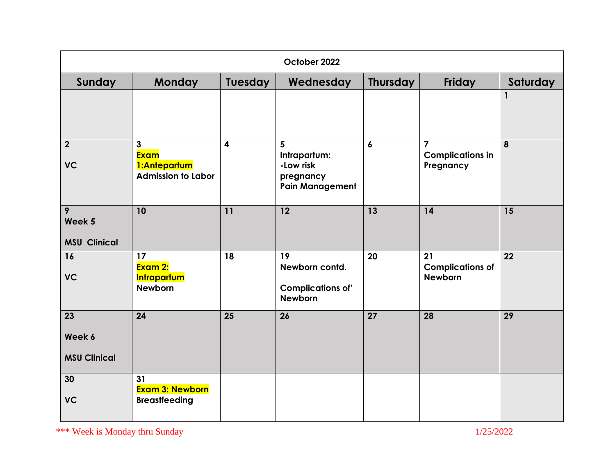| October 2022                        |                                                                          |         |                                                                       |                  |                                                        |          |
|-------------------------------------|--------------------------------------------------------------------------|---------|-----------------------------------------------------------------------|------------------|--------------------------------------------------------|----------|
| Sunday                              | Monday                                                                   | Tuesday | Wednesday                                                             | <b>Thursday</b>  | Friday                                                 | Saturday |
|                                     |                                                                          |         |                                                                       |                  |                                                        | 1        |
| $\overline{2}$<br><b>VC</b>         | $\mathbf{3}$<br><b>Exam</b><br>1:Antepartum<br><b>Admission to Labor</b> | 4       | 5<br>Intrapartum:<br>-Low risk<br>pregnancy<br><b>Pain Management</b> | $\boldsymbol{6}$ | $\overline{7}$<br><b>Complications in</b><br>Pregnancy | 8        |
| 9<br>Week 5<br><b>MSU Clinical</b>  | 10                                                                       | 11      | 12                                                                    | 13               | 14                                                     | 15       |
| 16<br><b>VC</b>                     | 17<br>Exam 2:<br><b>Intrapartum</b><br><b>Newborn</b>                    | 18      | 19<br>Newborn contd.<br><b>Complications of'</b><br><b>Newborn</b>    | 20               | 21<br><b>Complications of</b><br><b>Newborn</b>        | 22       |
| 23<br>Week 6<br><b>MSU Clinical</b> | 24                                                                       | 25      | 26                                                                    | 27               | 28                                                     | 29       |
| 30<br><b>VC</b>                     | 31<br><b>Exam 3: Newborn</b><br><b>Breastfeeding</b>                     |         |                                                                       |                  |                                                        |          |

\*\*\* Week is Monday thru Sunday 1/25/2022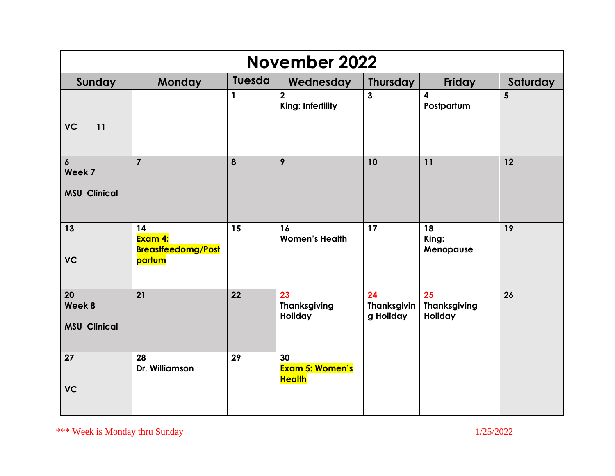| <b>November 2022</b>                              |                                                      |        |                                               |                                       |                                      |                |  |
|---------------------------------------------------|------------------------------------------------------|--------|-----------------------------------------------|---------------------------------------|--------------------------------------|----------------|--|
| Sunday                                            | <b>Monday</b>                                        | Tuesda | Wednesday                                     | <b>Thursday</b>                       | Friday                               | Saturday       |  |
| <b>VC</b><br>11                                   |                                                      | 1      | $\overline{2}$<br>King: Infertility           | $\mathbf{3}$                          | 4<br>Postpartum                      | $5\phantom{1}$ |  |
| $\boldsymbol{6}$<br>Week 7<br><b>MSU Clinical</b> | $\overline{7}$                                       | 8      | 9                                             | 10                                    | 11                                   | 12             |  |
| 13<br><b>VC</b>                                   | 14<br>Exam 4:<br><b>Breastfeedomg/Post</b><br>partum | 15     | 16<br><b>Women's Health</b>                   | 17                                    | 18<br>King:<br>Menopause             | 19             |  |
| 20<br>Week 8<br><b>MSU Clinical</b>               | 21                                                   | 22     | 23<br><b>Thanksgiving</b><br>Holiday          | 24<br><b>Thanksgivin</b><br>g Holiday | 25<br><b>Thanksgiving</b><br>Holiday | 26             |  |
| $\overline{27}$<br><b>VC</b>                      | 28<br>Dr. Williamson                                 | 29     | 30<br><b>Exam 5: Women's</b><br><b>Health</b> |                                       |                                      |                |  |